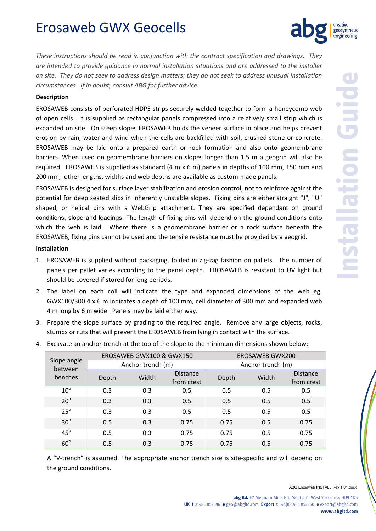# Erosaweb GWX Geocells

*These instructions should be read in conjunction with the contract specification and drawings. They are intended to provide guidance in normal installation situations and are addressed to the installer* on site. They do not seek to address design matters; they do not seek to address unusual installation *circumstances. If in doubt, consult ABG for further advice.*

### **Description**

EROSAWEB consists of perforated HDPE strips securely welded together to form a honeycomb web of open cells. It is supplied as rectangular panels compressed into a relatively small strip which is expanded on site. On steep slopes EROSAWEB holds the veneer surface in place and helps prevent erosion by rain, water and wind when the cells are backfilled with soil, crushed stone or concrete. EROSAWEB may be laid onto a prepared earth or rock formation and also onto geomembrane barriers. When used on geomembrane barriers on slopes longer than 1.5 m a geogrid will also be required. EROSAWEB is supplied as standard (4 m x 6 m) panels in depths of 100 mm, 150 mm and 200 mm; other lengths, widths and web depths are available as custom-made panels.

EROSAWEB is designed for surface layer stabilization and erosion control, not to reinforce against the potential for deep seated slips in inherently unstable slopes. Fixing pins are either straight "J", "U" shaped, or helical pins with a WebGrip attachment. They are specified dependant on ground conditions, slope and loadings. The length of fixing pins will depend on the ground conditions onto which the web is laid. Where there is a geomembrane barrier or a rock surface beneath the EROSAWEB, fixing pins cannot be used and the tensile resistance must be provided by a geogrid.

### **Installation**

- 1. EROSAWEB is supplied without packaging, folded in zig‐zag fashion on pallets. The number of panels per pallet varies according to the panel depth. EROSAWEB is resistant to UV light but should be covered if stored for long periods.
- 2. The label on each coil will indicate the type and expanded dimensions of the web eg. GWX100/300 4 x 6 m indicates a depth of 100 mm, cell diameter of 300 mm and expanded web 4 m long by 6 m wide. Panels may be laid either way.
- 3. Prepare the slope surface by grading to the required angle. Remove any large objects, rocks, stumps or ruts that will prevent the EROSAWEB from lying in contact with the surface.

|  | Slope angle<br>between<br>benches | EROSAWEB GWX100 & GWX150 |       |                               | <b>EROSAWEB GWX200</b> |       |                               |
|--|-----------------------------------|--------------------------|-------|-------------------------------|------------------------|-------|-------------------------------|
|  |                                   | Anchor trench (m)        |       |                               | Anchor trench (m)      |       |                               |
|  |                                   | Depth                    | Width | <b>Distance</b><br>from crest | Depth                  | Width | <b>Distance</b><br>from crest |
|  | $10^{\circ}$                      | 0.3                      | 0.3   | 0.5                           | 0.5                    | 0.5   | 0.5                           |
|  | $20^\circ$                        | 0.3                      | 0.3   | 0.5                           | 0.5                    | 0.5   | 0.5                           |
|  | $25^\circ$                        | 0.3                      | 0.3   | 0.5                           | 0.5                    | 0.5   | 0.5                           |
|  | $30^\circ$                        | 0.5                      | 0.3   | 0.75                          | 0.75                   | 0.5   | 0.75                          |
|  | $45^\circ$                        | 0.5                      | 0.3   | 0.75                          | 0.75                   | 0.5   | 0.75                          |
|  | $60^\circ$                        | 0.5                      | 0.3   | 0.75                          | 0.75                   | 0.5   | 0.75                          |

4. Excavate an anchor trench at the top of the slope to the minimum dimensions shown below:

A "V-trench" is assumed. The appropriate anchor trench size is site-specific and will depend on the ground conditions.

ABG Erosaweb INSTALL Rev 1.01.docx